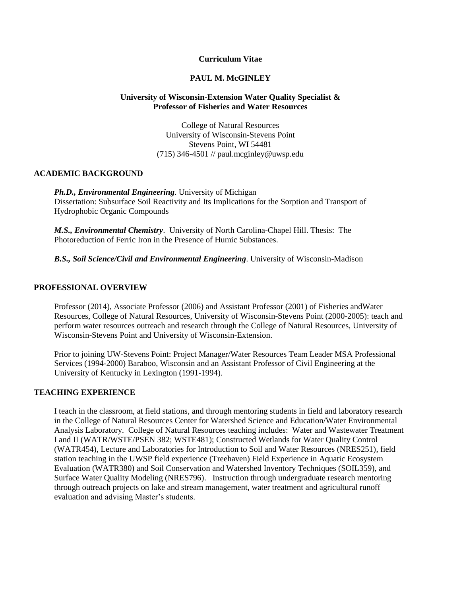## **Curriculum Vitae**

#### **PAUL M. McGINLEY**

### **University of Wisconsin-Extension Water Quality Specialist & Professor of Fisheries and Water Resources**

College of Natural Resources University of Wisconsin-Stevens Point Stevens Point, WI 54481 (715) 346-4501 // paul.mcginley@uwsp.edu

### **ACADEMIC BACKGROUND**

*Ph.D., Environmental Engineering*. University of Michigan Dissertation: Subsurface Soil Reactivity and Its Implications for the Sorption and Transport of Hydrophobic Organic Compounds

*M.S., Environmental Chemistry*. University of North Carolina-Chapel Hill. Thesis: The Photoreduction of Ferric Iron in the Presence of Humic Substances.

*B.S., Soil Science/Civil and Environmental Engineering*. University of Wisconsin-Madison

### **PROFESSIONAL OVERVIEW**

Professor (2014), Associate Professor (2006) and Assistant Professor (2001) of Fisheries andWater Resources, College of Natural Resources, University of Wisconsin-Stevens Point (2000-2005): teach and perform water resources outreach and research through the College of Natural Resources, University of Wisconsin-Stevens Point and University of Wisconsin-Extension.

Prior to joining UW-Stevens Point: Project Manager/Water Resources Team Leader MSA Professional Services (1994-2000) Baraboo, Wisconsin and an Assistant Professor of Civil Engineering at the University of Kentucky in Lexington (1991-1994).

#### **TEACHING EXPERIENCE**

I teach in the classroom, at field stations, and through mentoring students in field and laboratory research in the College of Natural Resources Center for Watershed Science and Education/Water Environmental Analysis Laboratory. College of Natural Resources teaching includes: Water and Wastewater Treatment I and II (WATR/WSTE/PSEN 382; WSTE481); Constructed Wetlands for Water Quality Control (WATR454), Lecture and Laboratories for Introduction to Soil and Water Resources (NRES251), field station teaching in the UWSP field experience (Treehaven) Field Experience in Aquatic Ecosystem Evaluation (WATR380) and Soil Conservation and Watershed Inventory Techniques (SOIL359), and Surface Water Quality Modeling (NRES796). Instruction through undergraduate research mentoring through outreach projects on lake and stream management, water treatment and agricultural runoff evaluation and advising Master's students.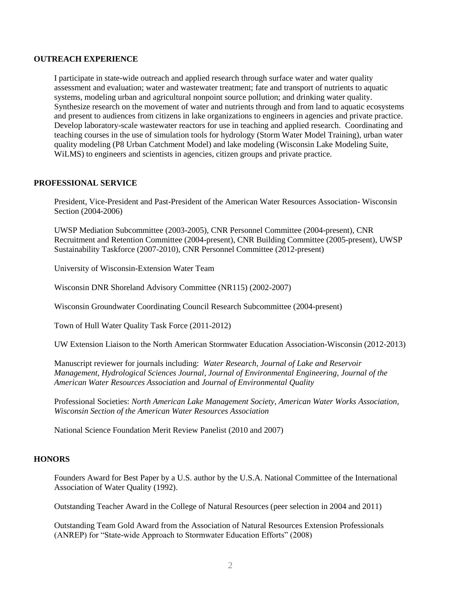#### **OUTREACH EXPERIENCE**

I participate in state-wide outreach and applied research through surface water and water quality assessment and evaluation; water and wastewater treatment; fate and transport of nutrients to aquatic systems, modeling urban and agricultural nonpoint source pollution; and drinking water quality. Synthesize research on the movement of water and nutrients through and from land to aquatic ecosystems and present to audiences from citizens in lake organizations to engineers in agencies and private practice. Develop laboratory-scale wastewater reactors for use in teaching and applied research. Coordinating and teaching courses in the use of simulation tools for hydrology (Storm Water Model Training), urban water quality modeling (P8 Urban Catchment Model) and lake modeling (Wisconsin Lake Modeling Suite, WiLMS) to engineers and scientists in agencies, citizen groups and private practice.

#### **PROFESSIONAL SERVICE**

President, Vice-President and Past-President of the American Water Resources Association- Wisconsin Section (2004-2006)

UWSP Mediation Subcommittee (2003-2005), CNR Personnel Committee (2004-present), CNR Recruitment and Retention Committee (2004-present), CNR Building Committee (2005-present), UWSP Sustainability Taskforce (2007-2010), CNR Personnel Committee (2012-present)

University of Wisconsin-Extension Water Team

Wisconsin DNR Shoreland Advisory Committee (NR115) (2002-2007)

Wisconsin Groundwater Coordinating Council Research Subcommittee (2004-present)

Town of Hull Water Quality Task Force (2011-2012)

UW Extension Liaison to the North American Stormwater Education Association-Wisconsin (2012-2013)

Manuscript reviewer for journals including: *Water Research*, *Journal of Lake and Reservoir Management*, *Hydrological Sciences Journal*, *Journal of Environmental Engineering*, *Journal of the American Water Resources Association* and *Journal of Environmental Quality*

Professional Societies: *North American Lake Management Society, American Water Works Association, Wisconsin Section of the American Water Resources Association*

National Science Foundation Merit Review Panelist (2010 and 2007)

### **HONORS**

Founders Award for Best Paper by a U.S. author by the U.S.A. National Committee of the International Association of Water Quality (1992).

Outstanding Teacher Award in the College of Natural Resources (peer selection in 2004 and 2011)

Outstanding Team Gold Award from the Association of Natural Resources Extension Professionals (ANREP) for "State-wide Approach to Stormwater Education Efforts" (2008)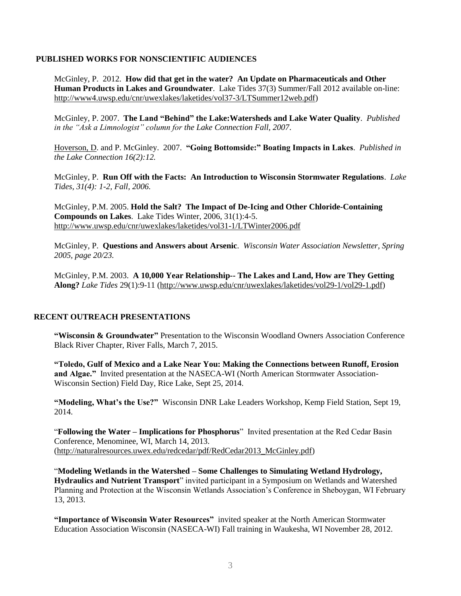### **PUBLISHED WORKS FOR NONSCIENTIFIC AUDIENCES**

McGinley, P. 2012. **How did that get in the water? An Update on Pharmaceuticals and Other Human Products in Lakes and Groundwater**. Lake Tides 37(3) Summer/Fall 2012 available on-line: [http://www4.uwsp.edu/cnr/uwexlakes/laketides/vol37-3/LTSummer12web.pdf\)](http://www4.uwsp.edu/cnr/uwexlakes/laketides/vol37-3/LTSummer12web.pdf)

McGinley, P. 2007. **The Land "Behind" the Lake:Watersheds and Lake Water Quality**. *Published in the "Ask a Limnologist" column for the Lake Connection Fall, 2007*.

Hoverson, D. and P. McGinley. 2007. **"Going Bottomside:" Boating Impacts in Lakes**. *Published in the Lake Connection 16(2):12.*

McGinley, P. **Run Off with the Facts: An Introduction to Wisconsin Stormwater Regulations**. *Lake Tides, 31(4): 1-2, Fall, 2006.*

McGinley, P.M. 2005. **Hold the Salt? The Impact of De-Icing and Other Chloride-Containing Compounds on Lakes**. Lake Tides Winter, 2006, 31(1):4-5. <http://www.uwsp.edu/cnr/uwexlakes/laketides/vol31-1/LTWinter2006.pdf>

McGinley, P. **Questions and Answers about Arsenic**. *Wisconsin Water Association Newsletter, Spring 2005, page 20/23.* 

McGinley, P.M. 2003. **A 10,000 Year Relationship-- The Lakes and Land, How are They Getting Along?** *Lake Tides* 29(1):9-11 [\(http://www.uwsp.edu/cnr/uwexlakes/laketides/vol29-1/vol29-1.pdf\)](http://www.uwsp.edu/cnr/uwexlakes/laketides/vol29-1/vol29-1.pdf)

# **RECENT OUTREACH PRESENTATIONS**

**"Wisconsin & Groundwater"** Presentation to the Wisconsin Woodland Owners Association Conference Black River Chapter, River Falls, March 7, 2015.

**"Toledo, Gulf of Mexico and a Lake Near You: Making the Connections between Runoff, Erosion and Algae."** Invited presentation at the NASECA-WI (North American Stormwater Association-Wisconsin Section) Field Day, Rice Lake, Sept 25, 2014.

**"Modeling, What's the Use?"** Wisconsin DNR Lake Leaders Workshop, Kemp Field Station, Sept 19, 2014.

"**Following the Water – Implications for Phosphorus**" Invited presentation at the Red Cedar Basin Conference, Menominee, WI, March 14, 2013. [\(http://naturalresources.uwex.edu/redcedar/pdf/RedCedar2013\\_McGinley.pdf\)](http://naturalresources.uwex.edu/redcedar/pdf/RedCedar2013_McGinley.pdf)

"**Modeling Wetlands in the Watershed – Some Challenges to Simulating Wetland Hydrology, Hydraulics and Nutrient Transport**" invited participant in a Symposium on Wetlands and Watershed Planning and Protection at the Wisconsin Wetlands Association's Conference in Sheboygan, WI February 13, 2013.

**"Importance of Wisconsin Water Resources"** invited speaker at the North American Stormwater Education Association Wisconsin (NASECA-WI) Fall training in Waukesha, WI November 28, 2012.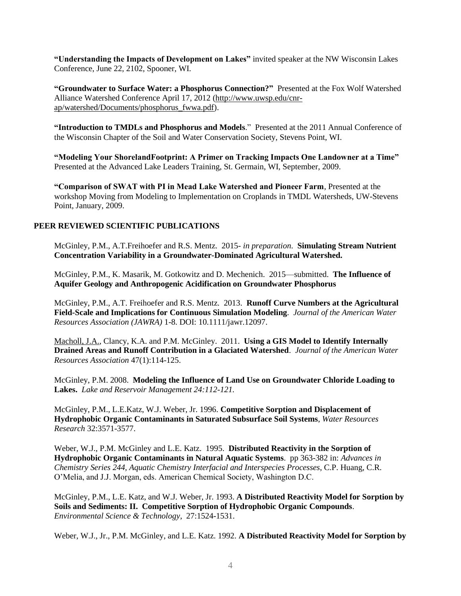**"Understanding the Impacts of Development on Lakes"** invited speaker at the NW Wisconsin Lakes Conference, June 22, 2102, Spooner, WI.

**"Groundwater to Surface Water: a Phosphorus Connection?"** Presented at the Fox Wolf Watershed Alliance Watershed Conference April 17, 2012 [\(http://www.uwsp.edu/cnr](http://www.uwsp.edu/cnr-ap/watershed/Documents/phosphorus_fwwa.pdf)[ap/watershed/Documents/phosphorus\\_fwwa.pdf\)](http://www.uwsp.edu/cnr-ap/watershed/Documents/phosphorus_fwwa.pdf).

**"Introduction to TMDLs and Phosphorus and Models**." Presented at the 2011 Annual Conference of the Wisconsin Chapter of the Soil and Water Conservation Society, Stevens Point, WI.

**"Modeling Your ShorelandFootprint: A Primer on Tracking Impacts One Landowner at a Time"** Presented at the Advanced Lake Leaders Training, St. Germain, WI, September, 2009.

**"Comparison of SWAT with PI in Mead Lake Watershed and Pioneer Farm**, Presented at the workshop Moving from Modeling to Implementation on Croplands in TMDL Watersheds, UW-Stevens Point, January, 2009.

## **PEER REVIEWED SCIENTIFIC PUBLICATIONS**

McGinley, P.M., A.T.Freihoefer and R.S. Mentz. 2015*- in preparation*. **Simulating Stream Nutrient Concentration Variability in a Groundwater-Dominated Agricultural Watershed.** 

McGinley, P.M., K. Masarik, M. Gotkowitz and D. Mechenich. 2015—submitted. **The Influence of Aquifer Geology and Anthropogenic Acidification on Groundwater Phosphorus** 

McGinley, P.M., A.T. Freihoefer and R.S. Mentz. 2013. **Runoff Curve Numbers at the Agricultural Field-Scale and Implications for Continuous Simulation Modeling**. *Journal of the American Water Resources Association (JAWRA)* 1-8. DOI: 10.1111/jawr.12097.

Macholl, J.A., Clancy, K.A. and P.M. McGinley. 2011. **Using a GIS Model to Identify Internally Drained Areas and Runoff Contribution in a Glaciated Watershed**. *Journal of the American Water Resources Association* 47(1):114-125.

McGinley, P.M. 2008. **Modeling the Influence of Land Use on Groundwater Chloride Loading to Lakes.** *Lake and Reservoir Management 24:112-121.*

McGinley, P.M., L.E.Katz, W.J. Weber, Jr. 1996. **Competitive Sorption and Displacement of Hydrophobic Organic Contaminants in Saturated Subsurface Soil Systems**, *Water Resources Research* 32:3571-3577.

Weber, W.J., P.M. McGinley and L.E. Katz. 1995. **Distributed Reactivity in the Sorption of Hydrophobic Organic Contaminants in Natural Aquatic Systems**. pp 363-382 in: *Advances in Chemistry Series 244, Aquatic Chemistry Interfacial and Interspecies Processes*, C.P. Huang, C.R. O'Melia, and J.J. Morgan, eds. American Chemical Society, Washington D.C.

McGinley, P.M., L.E. Katz, and W.J. Weber, Jr. 1993. **A Distributed Reactivity Model for Sorption by Soils and Sediments: II. Competitive Sorption of Hydrophobic Organic Compounds**. *Environmental Science & Technology*, 27:1524-1531.

Weber, W.J., Jr., P.M. McGinley, and L.E. Katz. 1992. **A Distributed Reactivity Model for Sorption by**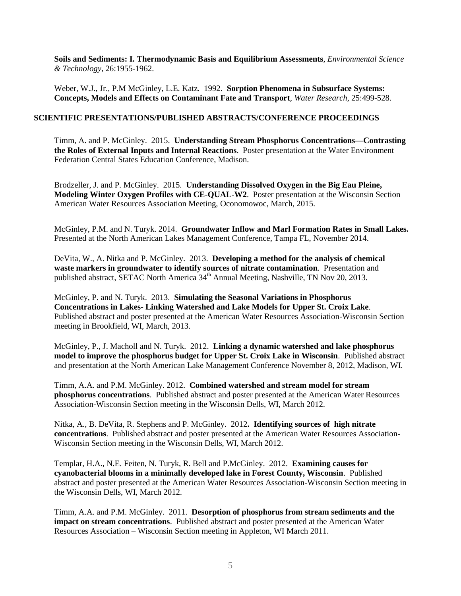**Soils and Sediments: I. Thermodynamic Basis and Equilibrium Assessments**, *Environmental Science & Technology*, 26:1955-1962.

Weber, W.J., Jr., P.M McGinley, L.E. Katz. 1992. **Sorption Phenomena in Subsurface Systems: Concepts, Models and Effects on Contaminant Fate and Transport**, *Water Research*, 25:499-528.

# **SCIENTIFIC PRESENTATIONS/PUBLISHED ABSTRACTS/CONFERENCE PROCEEDINGS**

Timm, A. and P. McGinley. 2015. **Understanding Stream Phosphorus Concentrations—Contrasting the Roles of External Inputs and Internal Reactions**. Poster presentation at the Water Environment Federation Central States Education Conference, Madison.

Brodzeller, J. and P. McGinley. 2015. **Understanding Dissolved Oxygen in the Big Eau Pleine, Modeling Winter Oxygen Profiles with CE-QUAL-W2**. Poster presentation at the Wisconsin Section American Water Resources Association Meeting, Oconomowoc, March, 2015.

McGinley, P.M. and N. Turyk. 2014. **Groundwater Inflow and Marl Formation Rates in Small Lakes.**  Presented at the North American Lakes Management Conference, Tampa FL, November 2014.

DeVita, W., A. Nitka and P. McGinley. 2013. **Developing a method for the analysis of chemical waste markers in groundwater to identify sources of nitrate contamination**. Presentation and published abstract, SETAC North America 34<sup>th</sup> Annual Meeting, Nashville, TN Nov 20, 2013.

McGinley, P. and N. Turyk. 2013. **Simulating the Seasonal Variations in Phosphorus Concentrations in Lakes- Linking Watershed and Lake Models for Upper St. Croix Lake**. Published abstract and poster presented at the American Water Resources Association-Wisconsin Section meeting in Brookfield, WI, March, 2013.

McGinley, P., J. Macholl and N. Turyk. 2012. **Linking a dynamic watershed and lake phosphorus model to improve the phosphorus budget for Upper St. Croix Lake in Wisconsin**. Published abstract and presentation at the North American Lake Management Conference November 8, 2012, Madison, WI.

Timm, A.A. and P.M. McGinley. 2012. **Combined watershed and stream model for stream phosphorus concentrations**. Published abstract and poster presented at the American Water Resources Association-Wisconsin Section meeting in the Wisconsin Dells, WI, March 2012.

Nitka, A., B. DeVita, R. Stephens and P. McGinley. 2012**. Identifying sources of high nitrate concentrations**. Published abstract and poster presented at the American Water Resources Association-Wisconsin Section meeting in the Wisconsin Dells, WI, March 2012.

Templar, H.A., N.E. Feiten, N. Turyk, R. Bell and P.McGinley. 2012. **Examining causes for cyanobacterial blooms in a minimally developed lake in Forest County, Wisconsin**. Published abstract and poster presented at the American Water Resources Association-Wisconsin Section meeting in the Wisconsin Dells, WI, March 2012.

Timm, A.A. and P.M. McGinley. 2011. **Desorption of phosphorus from stream sediments and the impact on stream concentrations**. Published abstract and poster presented at the American Water Resources Association – Wisconsin Section meeting in Appleton, WI March 2011.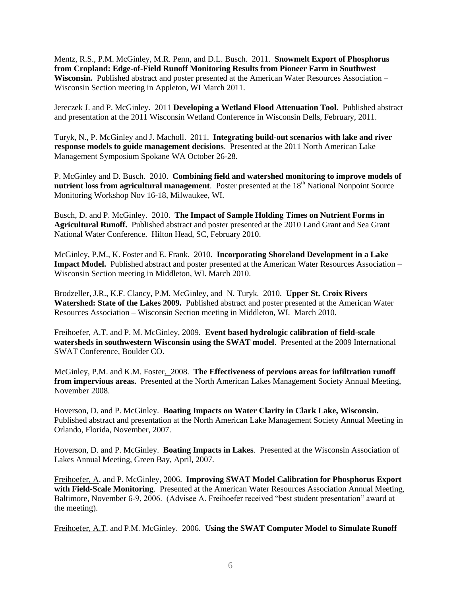Mentz, R.S., P.M. McGinley, M.R. Penn, and D.L. Busch. 2011. **Snowmelt Export of Phosphorus from Cropland: Edge-of-Field Runoff Monitoring Results from Pioneer Farm in Southwest Wisconsin.** Published abstract and poster presented at the American Water Resources Association – Wisconsin Section meeting in Appleton, WI March 2011.

Jereczek J. and P. McGinley. 2011 **Developing a Wetland Flood Attenuation Tool.** Published abstract and presentation at the 2011 Wisconsin Wetland Conference in Wisconsin Dells, February, 2011.

Turyk, N., P. McGinley and J. Macholl. 2011. **Integrating build-out scenarios with lake and river response models to guide management decisions**. Presented at the 2011 North American Lake Management Symposium Spokane WA October 26-28.

P. McGinley and D. Busch. 2010. **Combining field and watershed monitoring to improve models of nutrient loss from agricultural management**. Poster presented at the 18<sup>th</sup> National Nonpoint Source Monitoring Workshop Nov 16-18, Milwaukee, WI.

Busch, D. and P. McGinley. 2010. **The Impact of Sample Holding Times on Nutrient Forms in Agricultural Runoff.** Published abstract and poster presented at the 2010 Land Grant and Sea Grant National Water Conference. Hilton Head, SC, February 2010.

McGinley, P.M., K. Foster and E. Frank. 2010. **Incorporating Shoreland Development in a Lake Impact Model.** Published abstract and poster presented at the American Water Resources Association – Wisconsin Section meeting in Middleton, WI. March 2010.

Brodzeller, J.R., K.F. Clancy, P.M. McGinley, and N. Turyk. 2010. **Upper St. Croix Rivers Watershed: State of the Lakes 2009.** Published abstract and poster presented at the American Water Resources Association – Wisconsin Section meeting in Middleton, WI. March 2010.

Freihoefer, A.T. and P. M. McGinley, 2009. **Event based hydrologic calibration of field-scale watersheds in southwestern Wisconsin using the SWAT model**. Presented at the 2009 International SWAT Conference, Boulder CO.

McGinley, P.M. and K.M. Foster. 2008. **The Effectiveness of pervious areas for infiltration runoff from impervious areas.** Presented at the North American Lakes Management Society Annual Meeting, November 2008.

Hoverson, D. and P. McGinley. **Boating Impacts on Water Clarity in Clark Lake, Wisconsin.** Published abstract and presentation at the North American Lake Management Society Annual Meeting in Orlando, Florida, November, 2007.

Hoverson, D. and P. McGinley. **Boating Impacts in Lakes**. Presented at the Wisconsin Association of Lakes Annual Meeting, Green Bay, April, 2007.

Freihoefer, A. and P. McGinley, 2006. **Improving SWAT Model Calibration for Phosphorus Export with Field-Scale Monitoring**. Presented at the American Water Resources Association Annual Meeting, Baltimore, November 6-9, 2006. (Advisee A. Freihoefer received "best student presentation" award at the meeting).

Freihoefer, A.T. and P.M. McGinley. 2006. **Using the SWAT Computer Model to Simulate Runoff**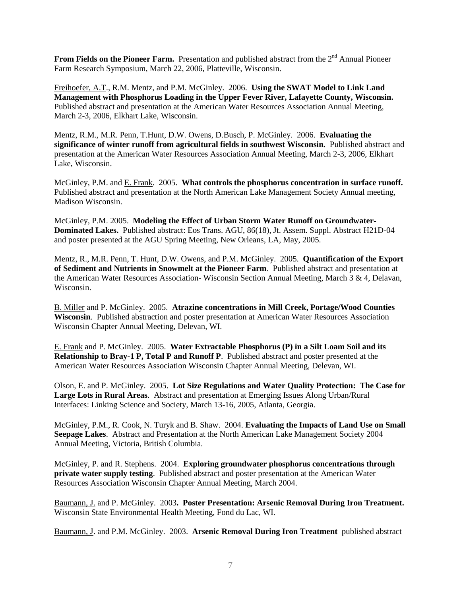**From Fields on the Pioneer Farm.** Presentation and published abstract from the 2<sup>nd</sup> Annual Pioneer Farm Research Symposium, March 22, 2006, Platteville, Wisconsin.

Freihoefer, A.T., R.M. Mentz, and P.M. McGinley. 2006. **Using the SWAT Model to Link Land Management with Phosphorus Loading in the Upper Fever River, Lafayette County, Wisconsin.** Published abstract and presentation at the American Water Resources Association Annual Meeting, March 2-3, 2006, Elkhart Lake, Wisconsin.

Mentz, R.M., M.R. Penn, T.Hunt, D.W. Owens, D.Busch, P. McGinley. 2006. **Evaluating the significance of winter runoff from agricultural fields in southwest Wisconsin.** Published abstract and presentation at the American Water Resources Association Annual Meeting, March 2-3, 2006, Elkhart Lake, Wisconsin.

McGinley, P.M. and E. Frank. 2005. **What controls the phosphorus concentration in surface runoff.** Published abstract and presentation at the North American Lake Management Society Annual meeting, Madison Wisconsin.

McGinley, P.M. 2005. **Modeling the Effect of Urban Storm Water Runoff on Groundwater-Dominated Lakes.** Published abstract: Eos Trans. AGU, 86(18), Jt. Assem. Suppl. Abstract H21D-04 and poster presented at the AGU Spring Meeting, New Orleans, LA, May, 2005.

Mentz, R., M.R. Penn, T. Hunt, D.W. Owens, and P.M. McGinley. 2005. **Quantification of the Export of Sediment and Nutrients in Snowmelt at the Pioneer Farm**. Published abstract and presentation at the American Water Resources Association-Wisconsin Section Annual Meeting, March  $\hat{3}$  & 4, Delavan, Wisconsin.

B. Miller and P. McGinley. 2005. **Atrazine concentrations in Mill Creek, Portage/Wood Counties Wisconsin**. Published abstraction and poster presentation at American Water Resources Association Wisconsin Chapter Annual Meeting, Delevan, WI.

E. Frank and P. McGinley. 2005. **Water Extractable Phosphorus (P) in a Silt Loam Soil and its Relationship to Bray-1 P, Total P and Runoff P**. Published abstract and poster presented at the American Water Resources Association Wisconsin Chapter Annual Meeting, Delevan, WI.

Olson, E. and P. McGinley. 2005. **Lot Size Regulations and Water Quality Protection: The Case for Large Lots in Rural Areas**. Abstract and presentation at Emerging Issues Along Urban/Rural Interfaces: Linking Science and Society, March 13-16, 2005, Atlanta, Georgia.

McGinley, P.M., R. Cook, N. Turyk and B. Shaw. 2004. **Evaluating the Impacts of Land Use on Small Seepage Lakes**. Abstract and Presentation at the North American Lake Management Society 2004 Annual Meeting, Victoria, British Columbia.

McGinley, P. and R. Stephens. 2004. **Exploring groundwater phosphorus concentrations through private water supply testing**. Published abstract and poster presentation at the American Water Resources Association Wisconsin Chapter Annual Meeting, March 2004.

Baumann, J. and P. McGinley. 2003**.****Poster Presentation: Arsenic Removal During Iron Treatment.** Wisconsin State Environmental Health Meeting, Fond du Lac, WI.

Baumann, J. and P.M. McGinley. 2003. **Arsenic Removal During Iron Treatment** published abstract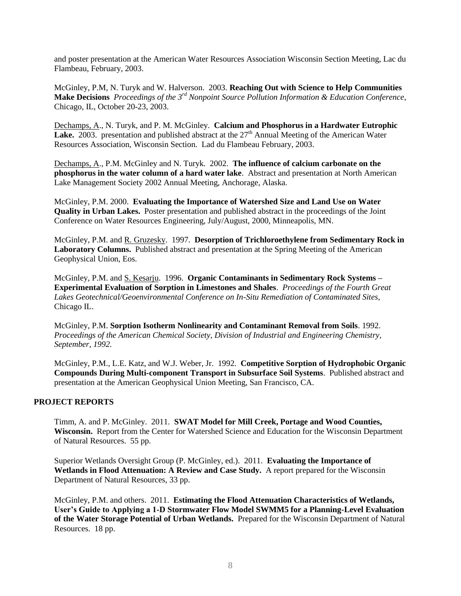and poster presentation at the American Water Resources Association Wisconsin Section Meeting, Lac du Flambeau, February, 2003.

McGinley, P.M, N. Turyk and W. Halverson. 2003. **Reaching Out with Science to Help Communities Make Decisions** *Proceedings of the 3rd Nonpoint Source Pollution Information & Education Conference*, Chicago, IL, October 20-23, 2003.

Dechamps, A., N. Turyk, and P. M. McGinley. **Calcium and Phosphorus in a Hardwater Eutrophic**  Lake. 2003. presentation and published abstract at the 27<sup>th</sup> Annual Meeting of the American Water Resources Association, Wisconsin Section. Lad du Flambeau February, 2003.

Dechamps, A., P.M. McGinley and N. Turyk. 2002. **The influence of calcium carbonate on the phosphorus in the water column of a hard water lake**. Abstract and presentation at North American Lake Management Society 2002 Annual Meeting, Anchorage, Alaska.

McGinley, P.M. 2000. **Evaluating the Importance of Watershed Size and Land Use on Water Quality in Urban Lakes.** Poster presentation and published abstract in the proceedings of the Joint Conference on Water Resources Engineering, July/August, 2000, Minneapolis, MN.

McGinley, P.M. and R. Gruzesky. 1997. **Desorption of Trichloroethylene from Sedimentary Rock in Laboratory Columns.** Published abstract and presentation at the Spring Meeting of the American Geophysical Union, Eos.

McGinley, P.M. and S. Kesarju. 1996. **Organic Contaminants in Sedimentary Rock Systems – Experimental Evaluation of Sorption in Limestones and Shales**. *Proceedings of the Fourth Great Lakes Geotechnical/Geoenvironmental Conference on In-Situ Remediation of Contaminated Sites*, Chicago IL.

McGinley, P.M. **Sorption Isotherm Nonlinearity and Contaminant Removal from Soils**. 1992. *Proceedings of the American Chemical Society, Division of Industrial and Engineering Chemistry, September, 1992.*

McGinley, P.M., L.E. Katz, and W.J. Weber, Jr. 1992. **Competitive Sorption of Hydrophobic Organic Compounds During Multi-component Transport in Subsurface Soil Systems**. Published abstract and presentation at the American Geophysical Union Meeting, San Francisco, CA.

## **PROJECT REPORTS**

Timm, A. and P. McGinley. 2011. **SWAT Model for Mill Creek, Portage and Wood Counties, Wisconsin.** Report from the Center for Watershed Science and Education for the Wisconsin Department of Natural Resources. 55 pp.

Superior Wetlands Oversight Group (P. McGinley, ed.). 2011. **Evaluating the Importance of Wetlands in Flood Attenuation: A Review and Case Study.** A report prepared for the Wisconsin Department of Natural Resources, 33 pp.

McGinley, P.M. and others. 2011. **Estimating the Flood Attenuation Characteristics of Wetlands, User's Guide to Applying a 1-D Stormwater Flow Model SWMM5 for a Planning-Level Evaluation of the Water Storage Potential of Urban Wetlands.** Prepared for the Wisconsin Department of Natural Resources. 18 pp.